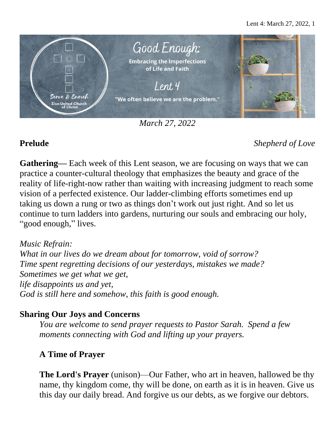

*March 27, 2022*

**Prelude** *Shepherd of Love*

**Gathering***—* Each week of this Lent season, we are focusing on ways that we can practice a counter-cultural theology that emphasizes the beauty and grace of the reality of life-right-now rather than waiting with increasing judgment to reach some vision of a perfected existence. Our ladder-climbing efforts sometimes end up taking us down a rung or two as things don't work out just right. And so let us continue to turn ladders into gardens, nurturing our souls and embracing our holy, "good enough," lives.

*Music Refrain: What in our lives do we dream about for tomorrow, void of sorrow? Time spent regretting decisions of our yesterdays, mistakes we made? Sometimes we get what we get, life disappoints us and yet, God is still here and somehow, this faith is good enough.*

# **Sharing Our Joys and Concerns**

*You are welcome to send prayer requests to Pastor Sarah. Spend a few moments connecting with God and lifting up your prayers.*

# **A Time of Prayer**

**The Lord's Prayer** (unison)—Our Father, who art in heaven, hallowed be thy name, thy kingdom come, thy will be done, on earth as it is in heaven. Give us this day our daily bread. And forgive us our debts, as we forgive our debtors.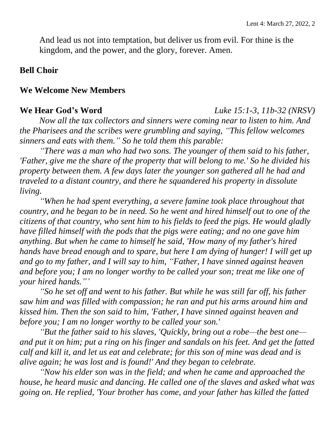And lead us not into temptation, but deliver us from evil. For thine is the kingdom, and the power, and the glory, forever. Amen.

#### **Bell Choir**

#### **We Welcome New Members**

**We Hear God's Word** *Luke 15:1-3, 11b-32 (NRSV)*

*Now all the tax collectors and sinners were coming near to listen to him. And the Pharisees and the scribes were grumbling and saying, "This fellow welcomes sinners and eats with them." So he told them this parable:*

*"There was a man who had two sons. The younger of them said to his father, 'Father, give me the share of the property that will belong to me.' So he divided his property between them. A few days later the younger son gathered all he had and traveled to a distant country, and there he squandered his property in dissolute living.*

*"When he had spent everything, a severe famine took place throughout that country, and he began to be in need. So he went and hired himself out to one of the citizens of that country, who sent him to his fields to feed the pigs. He would gladly have filled himself with the pods that the pigs were eating; and no one gave him anything. But when he came to himself he said, 'How many of my father's hired hands have bread enough and to spare, but here I am dying of hunger! I will get up and go to my father, and I will say to him, "Father, I have sinned against heaven and before you; I am no longer worthy to be called your son; treat me like one of your hired hands."'*

*"So he set off and went to his father. But while he was still far off, his father saw him and was filled with compassion; he ran and put his arms around him and kissed him. Then the son said to him, 'Father, I have sinned against heaven and before you; I am no longer worthy to be called your son.'*

*"But the father said to his slaves, 'Quickly, bring out a robe—the best one* and put it on him; put a ring on his finger and sandals on his feet. And get the fatted *calf and kill it, and let us eat and celebrate; for this son of mine was dead and is alive again; he was lost and is found!' And they began to celebrate.*

*"Now his elder son was in the field; and when he came and approached the house, he heard music and dancing. He called one of the slaves and asked what was going on. He replied, 'Your brother has come, and your father has killed the fatted*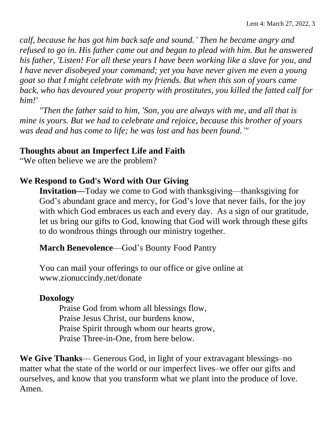*calf, because he has got him back safe and sound.' Then he became angry and refused to go in. His father came out and began to plead with him. But he answered his father, 'Listen! For all these years I have been working like a slave for you, and I have never disobeyed your command; yet you have never given me even a young goat so that I might celebrate with my friends. But when this son of yours came back, who has devoured your property with prostitutes, you killed the fatted calf for him!'*

*"Then the father said to him, 'Son, you are always with me, and all that is mine is yours. But we had to celebrate and rejoice, because this brother of yours was dead and has come to life; he was lost and has been found.'"*

## **Thoughts about an Imperfect Life and Faith**

"We often believe we are the problem?

## **We Respond to God's Word with Our Giving**

**Invitation—**Today we come to God with thanksgiving—thanksgiving for God's abundant grace and mercy, for God's love that never fails, for the joy with which God embraces us each and every day. As a sign of our gratitude, let us bring our gifts to God, knowing that God will work through these gifts to do wondrous things through our ministry together.

### **March Benevolence**—God's Bounty Food Pantry

You can mail your offerings to our office or give online at www.zionuccindy.net/donate

## **Doxology**

Praise God from whom all blessings flow, Praise Jesus Christ, our burdens know, Praise Spirit through whom our hearts grow, Praise Three-in-One, from here below.

**We Give Thanks**— Generous God, in light of your extravagant blessings–no matter what the state of the world or our imperfect lives–we offer our gifts and ourselves, and know that you transform what we plant into the produce of love. Amen.